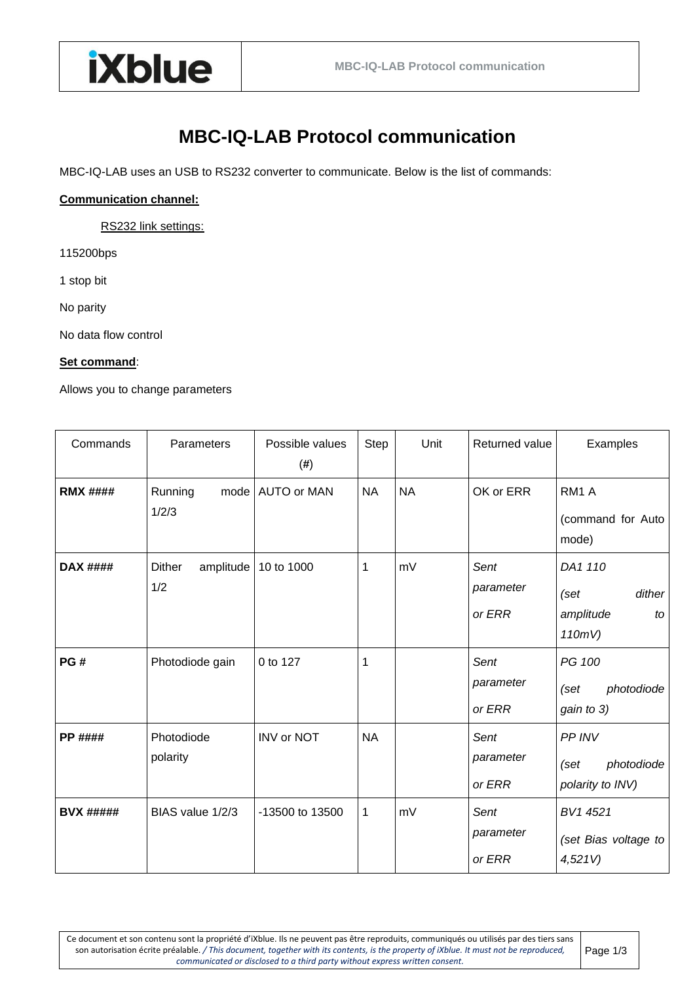

## **MBC-IQ-LAB Protocol communication**

MBC-IQ-LAB uses an USB to RS232 converter to communicate. Below is the list of commands:

## **Communication channel:**

RS232 link settings:

115200bps

1 stop bit

No parity

No data flow control

## **Set command**:

Allows you to change parameters

| Commands         | Parameters                        | Possible values<br>$(\#)$ | Step         | Unit      | Returned value              | Examples                                               |
|------------------|-----------------------------------|---------------------------|--------------|-----------|-----------------------------|--------------------------------------------------------|
| <b>RMX ####</b>  | Running<br>1/2/3                  | mode   AUTO or MAN        | <b>NA</b>    | <b>NA</b> | OK or ERR                   | RM <sub>1</sub> A<br>(command for Auto<br>mode)        |
| <b>DAX ####</b>  | <b>Dither</b><br>amplitude<br>1/2 | 10 to 1000                | 1            | mV        | Sent<br>parameter<br>or ERR | DA1 110<br>dither<br>(Set<br>amplitude<br>to<br>110mV) |
| PG#              | Photodiode gain                   | 0 to 127                  | 1            |           | Sent<br>parameter<br>or ERR | PG 100<br>photodiode<br>(set<br>gain to 3)             |
| <b>PP ####</b>   | Photodiode<br>polarity            | INV or NOT                | <b>NA</b>    |           | Sent<br>parameter<br>or ERR | PP INV<br>photodiode<br>(set<br>polarity to INV)       |
| <b>BVX #####</b> | BIAS value 1/2/3                  | -13500 to 13500           | $\mathbf{1}$ | mV        | Sent<br>parameter<br>or ERR | BV1 4521<br>(set Bias voltage to<br>4,521V             |

Ce document et son contenu sont la propriété d'iXblue. Ils ne peuvent pas être reproduits, communiqués ou utilisés par des tiers sans son autorisation écrite préalable. */ This document, together with its contents, is the property of iXblue. It must not be reproduced, communicated or disclosed to a third party without express written consent.*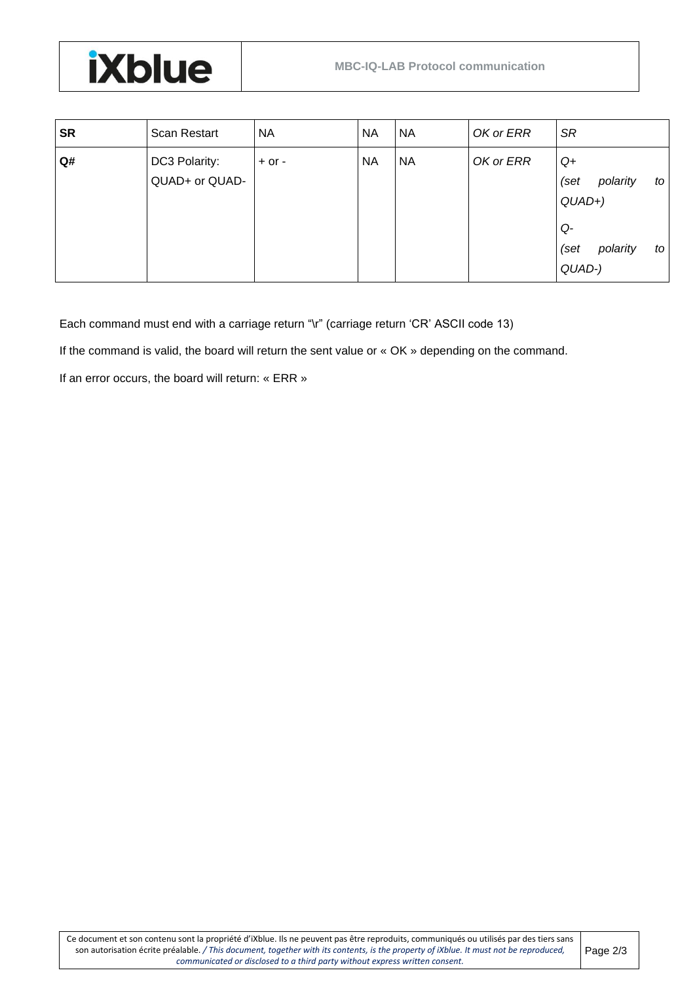

| <b>SR</b> | Scan Restart                    | NA         | <b>NA</b> | <b>NA</b> | OK or ERR | <b>SR</b>                                 |
|-----------|---------------------------------|------------|-----------|-----------|-----------|-------------------------------------------|
| Q#        | DC3 Polarity:<br>QUAD+ or QUAD- | $+$ or $-$ | <b>NA</b> | <b>NA</b> | OK or ERR | $Q+$<br>(set<br>polarity<br>to<br>$QUAD+$ |
|           |                                 |            |           |           |           | Q-<br>(set<br>polarity<br>to<br>QUAD-)    |

Each command must end with a carriage return "\r" (carriage return 'CR' ASCII code 13)

If the command is valid, the board will return the sent value or « OK » depending on the command.

If an error occurs, the board will return: « ERR »